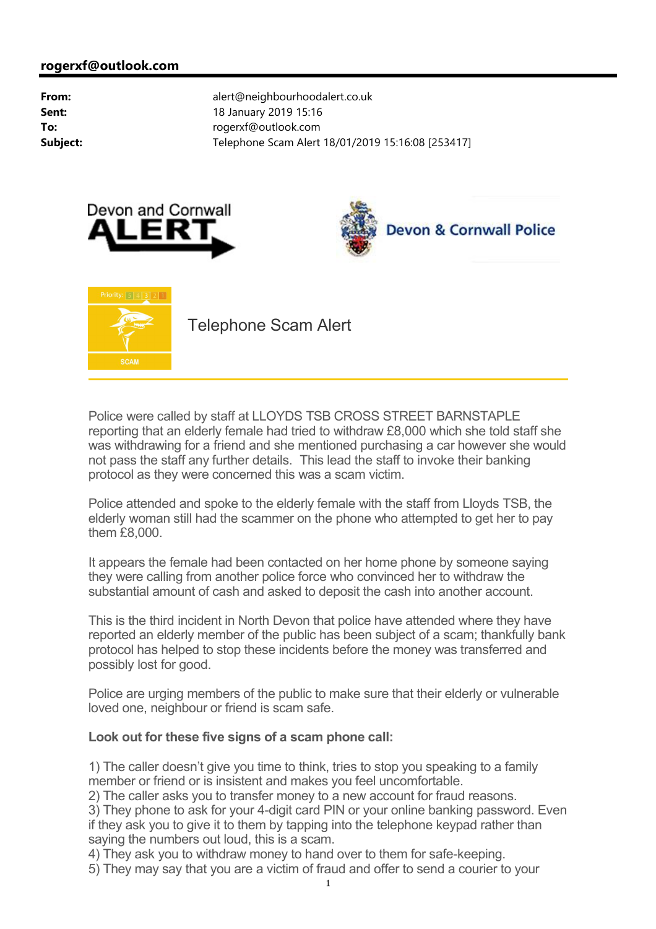





Telephone Scam Alert

Police were called by staff at LLOYDS TSB CROSS STREET BARNSTAPLE reporting that an elderly female had tried to withdraw £8,000 which she told staff she was withdrawing for a friend and she mentioned purchasing a car however she would not pass the staff any further details. This lead the staff to invoke their banking protocol as they were concerned this was a scam victim.

Police attended and spoke to the elderly female with the staff from Lloyds TSB, the elderly woman still had the scammer on the phone who attempted to get her to pay them £8,000.

It appears the female had been contacted on her home phone by someone saying they were calling from another police force who convinced her to withdraw the substantial amount of cash and asked to deposit the cash into another account.

This is the third incident in North Devon that police have attended where they have reported an elderly member of the public has been subject of a scam; thankfully bank protocol has helped to stop these incidents before the money was transferred and possibly lost for good.

Police are urging members of the public to make sure that their elderly or vulnerable loved one, neighbour or friend is scam safe.

# **Look out for these five signs of a scam phone call:**

1) The caller doesn't give you time to think, tries to stop you speaking to a family member or friend or is insistent and makes you feel uncomfortable.

2) The caller asks you to transfer money to a new account for fraud reasons.

3) They phone to ask for your 4-digit card PIN or your online banking password. Even if they ask you to give it to them by tapping into the telephone keypad rather than saying the numbers out loud, this is a scam.

4) They ask you to withdraw money to hand over to them for safe-keeping.

5) They may say that you are a victim of fraud and offer to send a courier to your